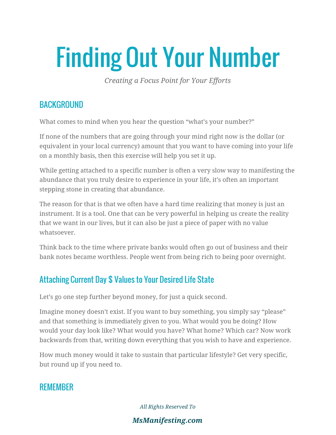# Finding Out Your Number

*Creating a Focus Point for Your Efforts*

### **BACKGROUND**

What comes to mind when you hear the question "what's your number?"

If none of the numbers that are going through your mind right now is the dollar (or equivalent in your local currency) amount that you want to have coming into your life on a monthly basis, then this exercise will help you set it up.

While getting attached to a specific number is often a very slow way to manifesting the abundance that you truly desire to experience in your life, it's often an important stepping stone in creating that abundance.

The reason for that is that we often have a hard time realizing that money is just an instrument. It is a tool. One that can be very powerful in helping us create the reality that we want in our lives, but it can also be just a piece of paper with no value whatsoever.

Think back to the time where private banks would often go out of business and their bank notes became worthless. People went from being rich to being poor overnight.

# Attaching Current Day \$ Values to Your Desired Life State

Let's go one step further beyond money, for just a quick second.

Imagine money doesn't exist. If you want to buy something, you simply say "please" and that something is immediately given to you. What would you be doing? How would your day look like? What would you have? What home? Which car? Now work backwards from that, writing down everything that you wish to have and experience.

How much money would it take to sustain that particular lifestyle? Get very specific, but round up if you need to.

## **REMEMBER**

*All Rights Reserved To*

#### *MsManifesting.com*